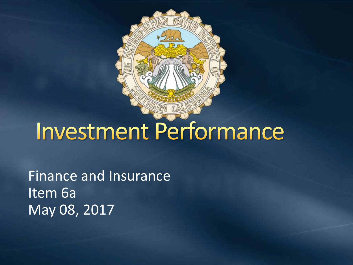

# Investment Performance

Finance and Insurance Item 6a May 08, 2017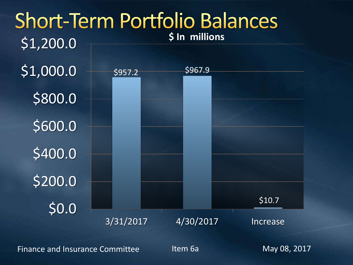

Finance and Insurance Committee The Item 6a May 08, 2017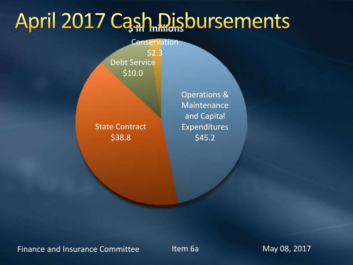# April 2017 Cash Disbursements

#### **Conservation**

Debt Service \$10.0 \$2.3

### State Contract \$38.8

Operations & Maintenance and Capital Expenditures \$45.2

Finance and Insurance Committee Theory Item 6a May 08, 2017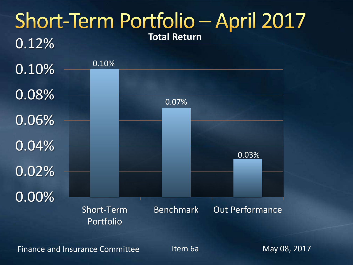

Finance and Insurance Committee Theory Item 6a May 08, 2017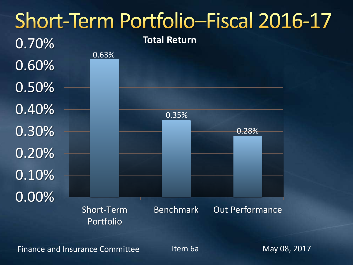## Short-Term Portfolio-Fiscal 2016-17



Finance and Insurance Committee Theory Item 6a May 08, 2017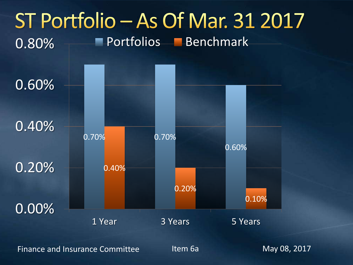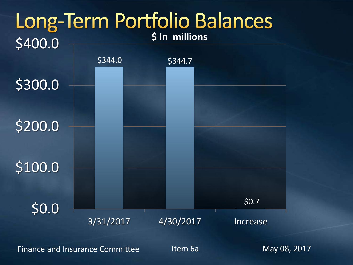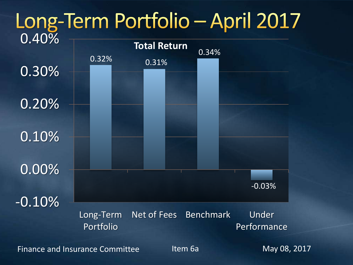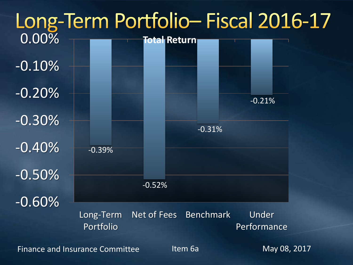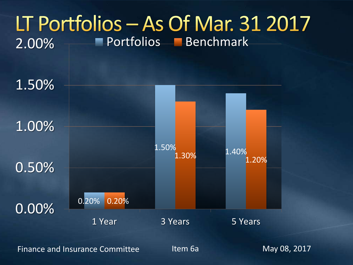